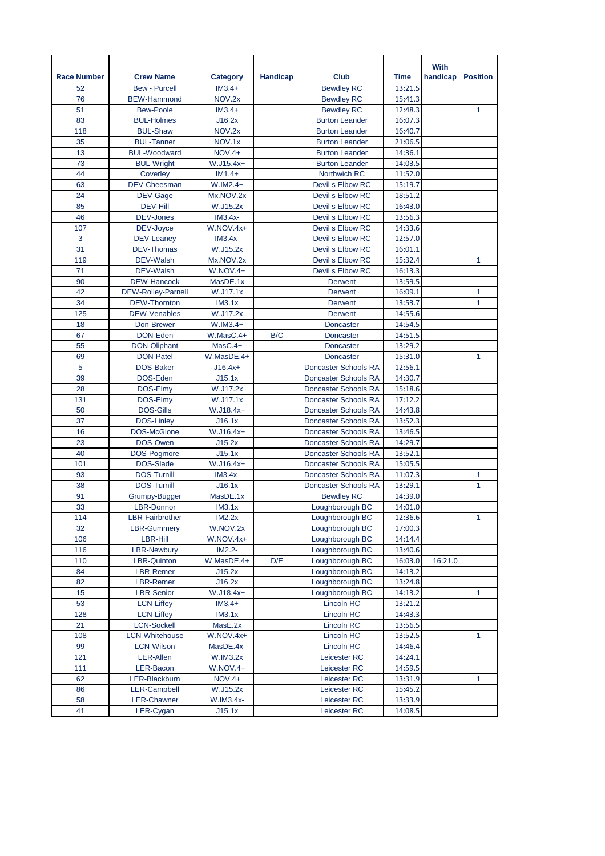|                    |                                        |                       |                 |                                        |                    | With     |                 |
|--------------------|----------------------------------------|-----------------------|-----------------|----------------------------------------|--------------------|----------|-----------------|
| <b>Race Number</b> | <b>Crew Name</b>                       | <b>Category</b>       | <b>Handicap</b> | Club                                   | Time               | handicap | <b>Position</b> |
| 52                 | <b>Bew - Purcell</b>                   | $IM3.4+$              |                 | <b>Bewdley RC</b>                      | 13:21.5            |          |                 |
| 76                 | <b>BEW-Hammond</b>                     | NOV.2x                |                 | <b>Bewdley RC</b>                      | 15:41.3            |          |                 |
| 51                 | <b>Bew-Poole</b>                       | $IM3.4+$              |                 | <b>Bewdley RC</b>                      | 12:48.3            |          | 1               |
| 83                 | <b>BUL-Holmes</b>                      | J16.2x                |                 | <b>Burton Leander</b>                  | 16:07.3            |          |                 |
| 118                | <b>BUL-Shaw</b>                        | NOV.2x                |                 | <b>Burton Leander</b>                  | 16:40.7            |          |                 |
| 35                 | <b>BUL-Tanner</b>                      | NOV.1x                |                 | <b>Burton Leander</b>                  | 21:06.5            |          |                 |
| 13                 | <b>BUL-Woodward</b>                    | <b>NOV.4+</b>         |                 | <b>Burton Leander</b>                  | 14:36.1            |          |                 |
| 73                 | <b>BUL-Wright</b>                      | W.J15.4x+             |                 | <b>Burton Leander</b>                  | 14:03.5            |          |                 |
| 44                 | Coverley                               | $IM1.4+$              |                 | Northwich RC                           | 11:52.0            |          |                 |
| 63                 | <b>DEV-Cheesman</b>                    | W.IM2.4+              |                 | Devil s Elbow RC                       | 15:19.7            |          |                 |
| 24                 | DEV-Gage                               | Mx.NOV.2x             |                 | Devil s Elbow RC                       | 18:51.2            |          |                 |
| 85                 | <b>DEV-Hill</b>                        | W.J15.2x              |                 | Devil s Elbow RC                       | 16:43.0            |          |                 |
| 46                 | DEV-Jones                              | $IM3.4x-$             |                 | Devil s Elbow RC                       | 13:56.3            |          |                 |
| 107                | DEV-Joyce                              | $W.NOV.4x+$           |                 | Devil s Elbow RC                       | 14:33.6            |          |                 |
| 3                  | <b>DEV-Leaney</b>                      | $IM3.4x-$             |                 | Devil s Elbow RC                       | 12:57.0            |          |                 |
| 31                 | DEV-Thomas                             | W.J15.2x              |                 | Devil s Elbow RC                       | 16:01.1            |          |                 |
| 119                | DEV-Walsh                              | Mx.NOV.2x             |                 | Devil s Elbow RC                       | 15:32.4            |          | $\mathbf{1}$    |
| 71                 | DEV-Walsh                              | $W.NOV.4+$            |                 | Devil s Elbow RC                       | 16:13.3            |          |                 |
| 90                 | <b>DEW-Hancock</b>                     | MasDE.1x              |                 | <b>Derwent</b>                         | 13:59.5            |          |                 |
| 42                 | <b>DEW-Rolley-Parnell</b>              | W.J17.1x              |                 | <b>Derwent</b><br><b>Derwent</b>       | 16:09.1            |          | 1<br>1          |
| 34<br>125          | DEW-Thornton<br><b>DEW-Venables</b>    | IM3.1x<br>W.J17.2x    |                 | <b>Derwent</b>                         | 13:53.7<br>14:55.6 |          |                 |
| 18                 |                                        | $W.IM3.4+$            |                 | <b>Doncaster</b>                       | 14:54.5            |          |                 |
| 67                 | Don-Brewer<br>DON-Eden                 | $W.MasC.4+$           | B/C             | <b>Doncaster</b>                       | 14:51.5            |          |                 |
| 55                 | DON-Oliphant                           | $MasC.4+$             |                 | <b>Doncaster</b>                       | 13:29.2            |          |                 |
| 69                 | DON-Patel                              | W.MasDE.4+            |                 | <b>Doncaster</b>                       | 15:31.0            |          | 1               |
| 5                  | DOS-Baker                              | $J16.4x+$             |                 | <b>Doncaster Schools RA</b>            | 12:56.1            |          |                 |
| 39                 | DOS-Eden                               | J15.1x                |                 | Doncaster Schools RA                   | 14:30.7            |          |                 |
| 28                 | DOS-Elmy                               | W.J17.2x              |                 | <b>Doncaster Schools RA</b>            | 15:18.6            |          |                 |
| 131                | DOS-Elmy                               | W.J17.1x              |                 | <b>Doncaster Schools RA</b>            | 17:12.2            |          |                 |
| 50                 | <b>DOS-Gills</b>                       | W.J18.4x+             |                 | Doncaster Schools RA                   | 14:43.8            |          |                 |
| 37                 | <b>DOS-Linley</b>                      | J16.1x                |                 | Doncaster Schools RA                   | 13:52.3            |          |                 |
| 16                 | DOS-McGlone                            | W.J16.4x+             |                 | Doncaster Schools RA                   | 13:46.5            |          |                 |
| 23                 | DOS-Owen                               | J15.2x                |                 | <b>Doncaster Schools RA</b>            | 14:29.7            |          |                 |
| 40                 | DOS-Pogmore                            | J15.1x                |                 | <b>Doncaster Schools RA</b>            | 13:52.1            |          |                 |
| 101                | DOS-Slade                              | W.J16.4x+             |                 | <b>Doncaster Schools RA</b>            | 15:05.5            |          |                 |
| 93                 | <b>DOS-Turnill</b>                     | $IM3.4x-$             |                 | <b>Doncaster Schools RA</b>            | 11:07.3            |          | 1               |
| 38                 | <b>DOS-Turnill</b>                     | J16.1x                |                 | <b>Doncaster Schools RA</b>            | 13:29.1            |          | 1               |
| 91                 | Grumpy-Bugger                          | MasDE.1x              |                 | <b>Bewdley RC</b>                      | 14:39.0            |          |                 |
| 33                 | <b>LBR-Donnor</b>                      | IM3.1x                |                 | Loughborough BC                        | 14:01.0            |          |                 |
| 114                | <b>LBR-Fairbrother</b>                 | IM2.2x                |                 | Loughborough BC                        | 12:36.6            |          | 1               |
| 32                 | <b>LBR-Gummery</b>                     | W.NOV.2x              |                 | Loughborough BC                        | 17:00.3            |          |                 |
| 106                | <b>LBR-Hill</b>                        | W.NOV.4x+             |                 | Loughborough BC                        | 14:14.4            |          |                 |
| 116                | <b>LBR-Newbury</b>                     | $IM2.2-$              |                 | Loughborough BC                        | 13:40.6            |          |                 |
| 110                | LBR-Quinton                            | W.MasDE.4+            | D/E             | Loughborough BC                        | 16:03.0            | 16:21.0  |                 |
| 84                 | LBR-Remer                              | J15.2x                |                 | Loughborough BC                        | 14:13.2            |          |                 |
| 82                 | <b>LBR-Remer</b>                       | J16.2x                |                 | Loughborough BC                        | 13:24.8            |          |                 |
| 15<br>53           | <b>LBR-Senior</b><br><b>LCN-Liffey</b> | W.J18.4x+<br>$IM3.4+$ |                 | Loughborough BC                        | 14:13.2<br>13:21.2 |          | 1               |
| 128                | <b>LCN-Liffey</b>                      | IM3.1x                |                 | <b>Lincoln RC</b><br><b>Lincoln RC</b> | 14:43.3            |          |                 |
| 21                 | <b>LCN-Sockell</b>                     | MasE.2x               |                 | Lincoln RC                             | 13:56.5            |          |                 |
| 108                | <b>LCN-Whitehouse</b>                  | $W.NOV.4x+$           |                 | <b>Lincoln RC</b>                      | 13:52.5            |          | $\mathbf{1}$    |
| 99                 | <b>LCN-Wilson</b>                      | MasDE.4x-             |                 | Lincoln RC                             | 14:46.4            |          |                 |
| 121                | LER-Allen                              | W.IM3.2x              |                 | Leicester RC                           | 14:24.1            |          |                 |
| 111                | LER-Bacon                              | W.NOV.4+              |                 | Leicester RC                           | 14:59.5            |          |                 |
| 62                 | LER-Blackburn                          | $NOV.4+$              |                 | Leicester RC                           | 13:31.9            |          | 1               |
| 86                 | <b>LER-Campbell</b>                    | W.J15.2x              |                 | Leicester RC                           | 15:45.2            |          |                 |
| 58                 | LER-Chawner                            | W.IM3.4x-             |                 | Leicester RC                           | 13:33.9            |          |                 |
| 41                 | LER-Cygan                              | J15.1x                |                 | Leicester RC                           | 14:08.5            |          |                 |